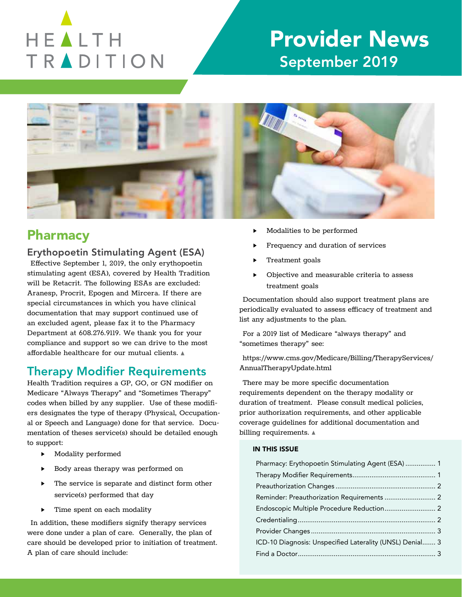

# Provider News September 2019



## Pharmacy

### Erythopoetin Stimulating Agent (ESA)

Effective September 1, 2019, the only erythopoetin stimulating agent (ESA), covered by Health Tradition will be Retacrit. The following ESAs are excluded: Aranesp, Procrit, Epogen and Mircera. If there are special circumstances in which you have clinical documentation that may support continued use of an excluded agent, please fax it to the Pharmacy Department at 608.276.9119. We thank you for your compliance and support so we can drive to the most affordable healthcare for our mutual clients. A

## Therapy Modifier Requirements

Health Tradition requires a GP, GO, or GN modifier on Medicare "Always Therapy" and "Sometimes Therapy" codes when billed by any supplier. Use of these modifiers designates the type of therapy (Physical, Occupational or Speech and Language) done for that service. Documentation of theses service(s) should be detailed enough to support:

- ▸ Modality performed
- ▸ Body areas therapy was performed on
- The service is separate and distinct form other service(s) performed that day
- Time spent on each modality

In addition, these modifiers signify therapy services were done under a plan of care. Generally, the plan of care should be developed prior to initiation of treatment. A plan of care should include:

- Modalities to be performed
- Frequency and duration of services
- Treatment goals
- ▸ Objective and measurable criteria to assess treatment goals

Documentation should also support treatment plans are periodically evaluated to assess efficacy of treatment and list any adjustments to the plan.

For a 2019 list of Medicare "always therapy" and "sometimes therapy" see:

https://www.cms.gov/Medicare/Billing/TherapyServices/ AnnualTherapyUpdate.html

There may be more specific documentation requirements dependent on the therapy modality or duration of treatment. Please consult medical policies, prior authorization requirements, and other applicable coverage guidelines for additional documentation and billing requirements.  $\triangle$ 

#### IN THIS ISSUE

| Pharmacy: Erythopoetin Stimulating Agent (ESA)  1        |  |
|----------------------------------------------------------|--|
|                                                          |  |
|                                                          |  |
| Reminder: Preauthorization Requirements  2               |  |
|                                                          |  |
|                                                          |  |
|                                                          |  |
| ICD-10 Diagnosis: Unspecified Laterality (UNSL) Denial 3 |  |
|                                                          |  |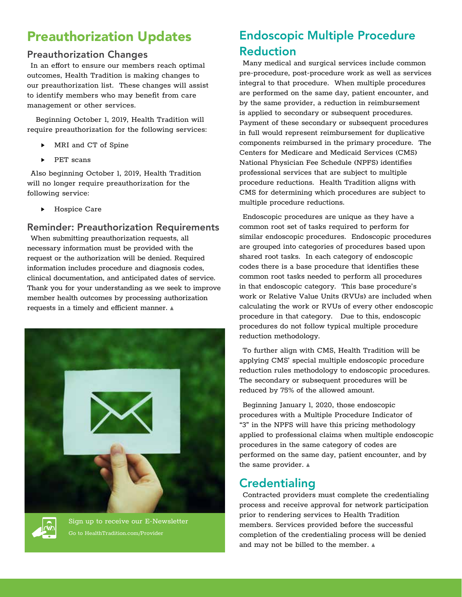## Preauthorization Updates

### Preauthorization Changes

In an effort to ensure our members reach optimal outcomes, Health Tradition is making changes to our preauthorization list. These changes will assist to identify members who may benefit from care management or other services.

 Beginning October 1, 2019, Health Tradition will require preauthorization for the following services:

- MRI and CT of Spine
- PET scans

Also beginning October 1, 2019, Health Tradition will no longer require preauthorization for the following service:

Hospice Care

#### Reminder: Preauthorization Requirements

When submitting preauthorization requests, all necessary information must be provided with the request or the authorization will be denied. Required information includes procedure and diagnosis codes, clinical documentation, and anticipated dates of service. Thank you for your understanding as we seek to improve member health outcomes by processing authorization requests in a timely and efficient manner.





Sign up to receive our E-Newsletter Go to HealthTradition.com/Provider

## Endoscopic Multiple Procedure Reduction

Many medical and surgical services include common pre-procedure, post-procedure work as well as services integral to that procedure. When multiple procedures are performed on the same day, patient encounter, and by the same provider, a reduction in reimbursement is applied to secondary or subsequent procedures. Payment of these secondary or subsequent procedures in full would represent reimbursement for duplicative components reimbursed in the primary procedure. The Centers for Medicare and Medicaid Services (CMS) National Physician Fee Schedule (NPFS) identifies professional services that are subject to multiple procedure reductions. Health Tradition aligns with CMS for determining which procedures are subject to multiple procedure reductions.

Endoscopic procedures are unique as they have a common root set of tasks required to perform for similar endoscopic procedures. Endoscopic procedures are grouped into categories of procedures based upon shared root tasks. In each category of endoscopic codes there is a base procedure that identifies these common root tasks needed to perform all procedures in that endoscopic category. This base procedure's work or Relative Value Units (RVUs) are included when calculating the work or RVUs of every other endoscopic procedure in that category. Due to this, endoscopic procedures do not follow typical multiple procedure reduction methodology.

To further align with CMS, Health Tradition will be applying CMS' special multiple endoscopic procedure reduction rules methodology to endoscopic procedures. The secondary or subsequent procedures will be reduced by 75% of the allowed amount.

Beginning January 1, 2020, those endoscopic procedures with a Multiple Procedure Indicator of "3" in the NPFS will have this pricing methodology applied to professional claims when multiple endoscopic procedures in the same category of codes are performed on the same day, patient encounter, and by the same provider.  $\triangle$ 

## **Credentialing**

Contracted providers must complete the credentialing process and receive approval for network participation prior to rendering services to Health Tradition members. Services provided before the successful completion of the credentialing process will be denied and may not be billed to the member.  $\triangle$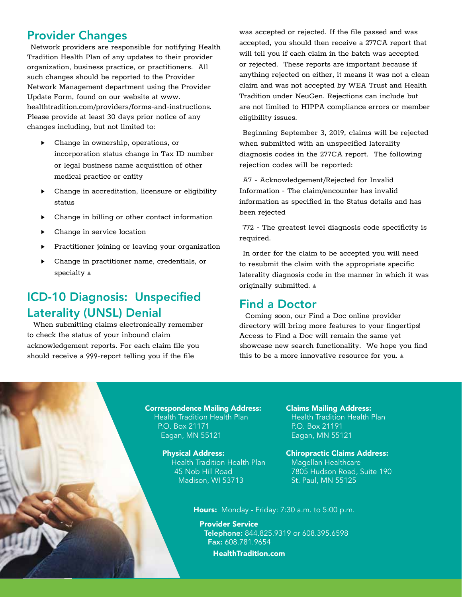### Provider Changes

Network providers are responsible for notifying Health Tradition Health Plan of any updates to their provider organization, business practice, or practitioners. All such changes should be reported to the Provider Network Management department using the Provider Update Form, found on our website at www. healthtradition.com/providers/forms-and-instructions. Please provide at least 30 days prior notice of any changes including, but not limited to:

- ▸ Change in ownership, operations, or incorporation status change in Tax ID number or legal business name acquisition of other medical practice or entity
- ▸ Change in accreditation, licensure or eligibility status
- Change in billing or other contact information
- Change in service location
- Practitioner joining or leaving your organization
- ▸ Change in practitioner name, credentials, or specialty  $\triangle$

## ICD-10 Diagnosis: Unspecified Laterality (UNSL) Denial

 When submitting claims electronically remember to check the status of your inbound claim acknowledgement reports. For each claim file you should receive a 999-report telling you if the file

was accepted or rejected. If the file passed and was accepted, you should then receive a 277CA report that will tell you if each claim in the batch was accepted or rejected. These reports are important because if anything rejected on either, it means it was not a clean claim and was not accepted by WEA Trust and Health Tradition under NeuGen. Rejections can include but are not limited to HIPPA compliance errors or member eligibility issues.

Beginning September 3, 2019, claims will be rejected when submitted with an unspecified laterality diagnosis codes in the 277CA report. The following rejection codes will be reported:

A7 - Acknowledgement/Rejected for Invalid Information - The claim/encounter has invalid information as specified in the Status details and has been rejected

772 - The greatest level diagnosis code specificity is required.

In order for the claim to be accepted you will need to resubmit the claim with the appropriate specific laterality diagnosis code in the manner in which it was originally submitted.  $\triangle$ 

### Find a Doctor

 Coming soon, our Find a Doc online provider directory will bring more features to your fingertips! Access to Find a Doc will remain the same yet showcase new search functionality. We hope you find this to be a more innovative resource for you.

Correspondence Mailing Address: Health Tradition Health Plan P.O. Box 21171 Eagan, MN 55121

> Physical Address: Health Tradition Health Plan 45 Nob Hill Road Madison, WI 53713

Claims Mailing Address: Health Tradition Health Plan P.O. Box 21191 Eagan, MN 55121

Chiropractic Claims Address: Magellan Healthcare 7805 Hudson Road, Suite 190 St. Paul, MN 55125

Hours: Monday - Friday: 7:30 a.m. to 5:00 p.m.

Provider Service Telephone: 844.825.9319 or 608.395.6598 Fax: 608.781.9654 HealthTradition.com